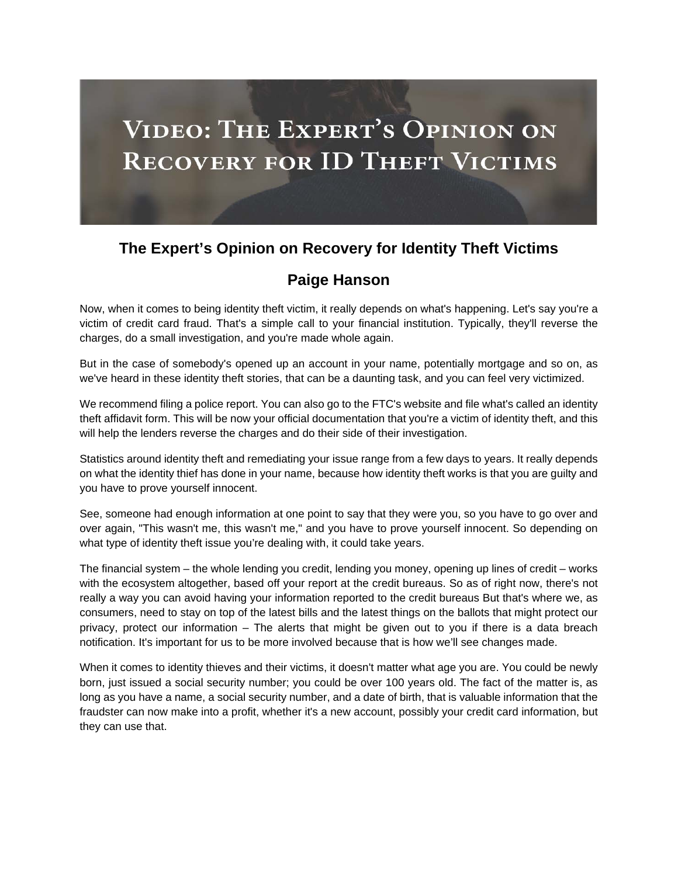

## **The Expert's Opinion on Recovery for Identity Theft Victims**

## **Paige Hanson**

Now, when it comes to being identity theft victim, it really depends on what's happening. Let's say you're a victim of credit card fraud. That's a simple call to your financial institution. Typically, they'll reverse the charges, do a small investigation, and you're made whole again.

But in the case of somebody's opened up an account in your name, potentially mortgage and so on, as we've heard in these identity theft stories, that can be a daunting task, and you can feel very victimized.

We recommend filing a police report. You can also go to the FTC's website and file what's called an identity theft affidavit form. This will be now your official documentation that you're a victim of identity theft, and this will help the lenders reverse the charges and do their side of their investigation.

Statistics around identity theft and remediating your issue range from a few days to years. It really depends on what the identity thief has done in your name, because how identity theft works is that you are guilty and you have to prove yourself innocent.

See, someone had enough information at one point to say that they were you, so you have to go over and over again, "This wasn't me, this wasn't me," and you have to prove yourself innocent. So depending on what type of identity theft issue you're dealing with, it could take years.

The financial system – the whole lending you credit, lending you money, opening up lines of credit – works with the ecosystem altogether, based off your report at the credit bureaus. So as of right now, there's not really a way you can avoid having your information reported to the credit bureaus But that's where we, as consumers, need to stay on top of the latest bills and the latest things on the ballots that might protect our privacy, protect our information – The alerts that might be given out to you if there is a data breach notification. It's important for us to be more involved because that is how we'll see changes made.

When it comes to identity thieves and their victims, it doesn't matter what age you are. You could be newly born, just issued a social security number; you could be over 100 years old. The fact of the matter is, as long as you have a name, a social security number, and a date of birth, that is valuable information that the fraudster can now make into a profit, whether it's a new account, possibly your credit card information, but they can use that.